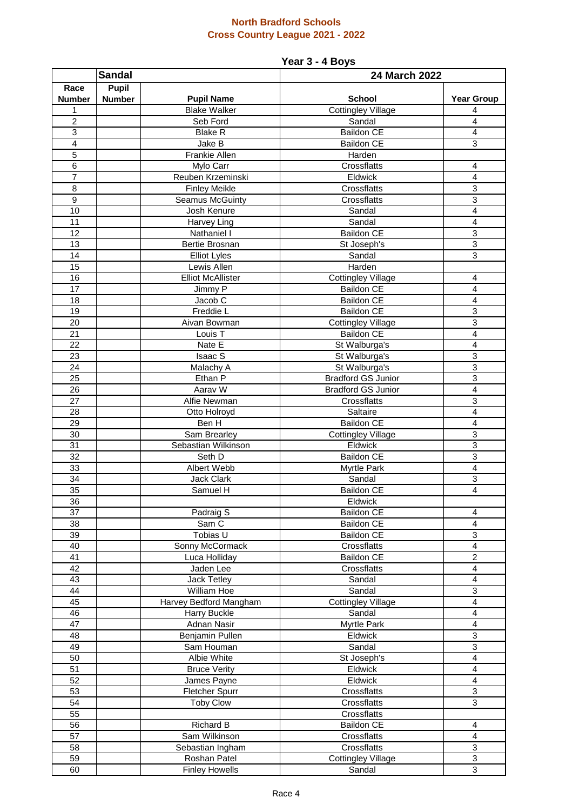#### **North Bradford Schools Cross Country League 2021 - 2022**

## **Year 3 - 4 Boys**

|                 | <b>Sandal</b> |                            | 24 March 2022                                  |                              |  |
|-----------------|---------------|----------------------------|------------------------------------------------|------------------------------|--|
| Race            | <b>Pupil</b>  |                            |                                                |                              |  |
| <b>Number</b>   | <b>Number</b> | <b>Pupil Name</b>          | <b>School</b>                                  | <b>Year Group</b>            |  |
| 1               |               | <b>Blake Walker</b>        | <b>Cottingley Village</b>                      | 4                            |  |
| $\overline{c}$  |               | Seb Ford                   | Sandal                                         | $\overline{4}$               |  |
| 3               |               | <b>Blake R</b>             | <b>Baildon CE</b>                              | 4                            |  |
| $\overline{4}$  |               | Jake B                     | <b>Baildon CE</b>                              | $\overline{3}$               |  |
| 5               |               | Frankie Allen              | Harden                                         |                              |  |
| 6               |               | Mylo Carr                  | Crossflatts                                    | $\overline{4}$               |  |
| $\overline{7}$  |               | Reuben Krzeminski          | Eldwick                                        | 4                            |  |
| 8               |               | <b>Finley Meikle</b>       | Crossflatts                                    | $\overline{3}$               |  |
| 9               |               | Seamus McGuinty            | Crossflatts                                    | 3                            |  |
| 10              |               | Josh Kenure                | Sandal                                         | 4                            |  |
| 11              |               | Harvey Ling                | Sandal                                         | 4                            |  |
| 12              |               | Nathaniel I                | <b>Baildon CE</b>                              | $\mathbf{3}$                 |  |
| 13              |               | Bertie Brosnan             | St Joseph's                                    | 3                            |  |
| 14              |               | <b>Elliot Lyles</b>        | Sandal                                         | 3                            |  |
| 15              |               | Lewis Allen                | Harden                                         |                              |  |
| 16<br>17        |               | <b>Elliot McAllister</b>   | <b>Cottingley Village</b><br><b>Baildon CE</b> | $\overline{\mathbf{4}}$<br>4 |  |
| 18              |               | Jimmy P<br>Jacob C         | <b>Baildon CE</b>                              | 4                            |  |
| 19              |               | Freddie L                  | <b>Baildon CE</b>                              | $\mathbf{3}$                 |  |
| 20              |               | Aivan Bowman               | <b>Cottingley Village</b>                      | $\overline{3}$               |  |
| 21              |               | Louis <sub>T</sub>         | <b>Baildon CE</b>                              | $\overline{\mathbf{4}}$      |  |
| $\overline{22}$ |               | Nate E                     | St Walburga's                                  | 4                            |  |
| $\overline{23}$ |               | <b>Isaac S</b>             | St Walburga's                                  | $\overline{3}$               |  |
| 24              |               | Malachy A                  | St Walburga's                                  | 3                            |  |
| $\overline{25}$ |               | Ethan P                    | <b>Bradford GS Junior</b>                      | $\overline{3}$               |  |
| 26              |               | Aarav W                    | <b>Bradford GS Junior</b>                      | 4                            |  |
| 27              |               | Alfie Newman               | Crossflatts                                    | 3                            |  |
| 28              |               | Otto Holroyd               | Saltaire                                       | 4                            |  |
| 29              |               | Ben H                      | Baildon CE                                     | 4                            |  |
| 30              |               | Sam Brearley               | <b>Cottingley Village</b>                      | 3                            |  |
| 31              |               | Sebastian Wilkinson        | Eldwick                                        | 3                            |  |
| 32              |               | Seth D                     | <b>Baildon CE</b>                              | 3                            |  |
| 33              |               | Albert Webb                | Myrtle Park                                    | 4                            |  |
| 34              |               | Jack Clark                 | Sandal                                         | 3                            |  |
| 35              |               | Samuel H                   | <b>Baildon CE</b>                              | $\overline{\mathbf{4}}$      |  |
| 36              |               |                            | Eldwick                                        |                              |  |
| 37              |               | Padraig S                  | <b>Baildon CE</b>                              | 4                            |  |
| 38              |               | Sam C                      | <b>Baildon CE</b>                              | 4                            |  |
| 39              |               | Tobias U                   | <b>Baildon CE</b>                              | 3                            |  |
| 40              |               | Sonny McCormack            | Crossflatts                                    | 4                            |  |
| $\overline{41}$ |               | Luca Holliday              | <b>Baildon CE</b>                              | $\overline{2}$               |  |
| $\overline{42}$ |               | Jaden Lee                  | Crossflatts                                    | 4                            |  |
| 43<br>44        |               | Jack Tetley<br>William Hoe | Sandal                                         | $\overline{4}$<br>3          |  |
| 45              |               | Harvey Bedford Mangham     | Sandal<br><b>Cottingley Village</b>            | 4                            |  |
| 46              |               | Harry Buckle               | Sandal                                         | 4                            |  |
| 47              |               | Adnan Nasir                | Myrtle Park                                    | 4                            |  |
| 48              |               | Benjamin Pullen            | Eldwick                                        | 3                            |  |
| 49              |               | Sam Houman                 | Sandal                                         | $\mathbf{3}$                 |  |
| 50              |               | Albie White                | St Joseph's                                    | $\overline{\mathbf{4}}$      |  |
| 51              |               | <b>Bruce Verity</b>        | Eldwick                                        | 4                            |  |
| 52              |               | James Payne                | Eldwick                                        | 4                            |  |
| 53              |               | Fletcher Spurr             | Crossflatts                                    | $\overline{3}$               |  |
| 54              |               | <b>Toby Clow</b>           | Crossflatts                                    | 3                            |  |
| 55              |               |                            | Crossflatts                                    |                              |  |
| 56              |               | Richard B                  | Baildon CE                                     | 4                            |  |
| 57              |               | Sam Wilkinson              | Crossflatts                                    | $\overline{4}$               |  |
| 58              |               | Sebastian Ingham           | Crossflatts                                    | $\mathbf{3}$                 |  |
| 59              |               | Roshan Patel               | <b>Cottingley Village</b>                      | $\mathbf{3}$                 |  |
| 60              |               | <b>Finley Howells</b>      | Sandal                                         | 3                            |  |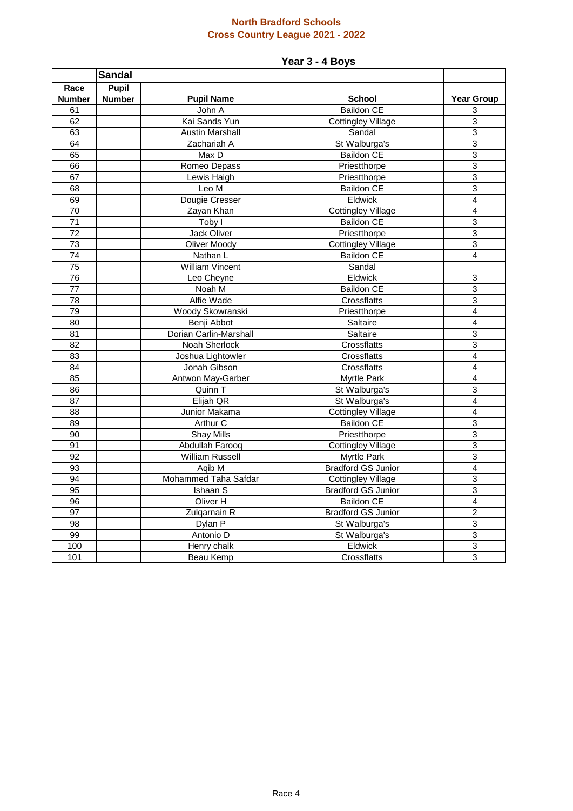#### **North Bradford Schools Cross Country League 2021 - 2022**

# **Year 3 - 4 Boys**

|                 | <b>Sandal</b> |                        |                           |                         |
|-----------------|---------------|------------------------|---------------------------|-------------------------|
| Race            | <b>Pupil</b>  |                        |                           |                         |
| <b>Number</b>   | <b>Number</b> | <b>Pupil Name</b>      | <b>School</b>             | <b>Year Group</b>       |
| 61              |               | John A                 | Baildon CE                | 3                       |
| 62              |               | Kai Sands Yun          | <b>Cottingley Village</b> | 3                       |
| 63              |               | <b>Austin Marshall</b> | Sandal                    | 3                       |
| 64              |               | Zachariah A            | St Walburga's             | 3                       |
| 65              |               | Max D                  | <b>Baildon CE</b>         | 3                       |
| 66              |               | Romeo Depass           | Priestthorpe              | $\overline{3}$          |
| 67              |               | Lewis Haigh            | Priestthorpe              | $\overline{3}$          |
| 68              |               | Leo M                  | <b>Baildon CE</b>         | $\overline{3}$          |
| 69              |               | Dougie Cresser         | Eldwick                   | 4                       |
| 70              |               | Zayan Khan             | <b>Cottingley Village</b> | 4                       |
| $\overline{71}$ |               | Toby I                 | <b>Baildon CE</b>         | 3                       |
| $\overline{72}$ |               | Jack Oliver            | Priestthorpe              | $\overline{3}$          |
| 73              |               | Oliver Moody           | <b>Cottingley Village</b> | 3                       |
| $\overline{74}$ |               | Nathan L               | <b>Baildon CE</b>         | 4                       |
| $\overline{75}$ |               | William Vincent        | Sandal                    |                         |
| $\overline{76}$ |               | Leo Cheyne             | Eldwick                   | 3                       |
| $\overline{77}$ |               | Noah M                 | <b>Baildon CE</b>         | 3                       |
| 78              |               | Alfie Wade             | Crossflatts               | 3                       |
| 79              |               | Woody Skowranski       | Priestthorpe              | $\overline{4}$          |
| 80              |               | Benji Abbot            | Saltaire                  | $\overline{4}$          |
| 81              |               | Dorian Carlin-Marshall | Saltaire                  | 3                       |
| 82              |               | Noah Sherlock          | Crossflatts               | $\overline{3}$          |
| 83              |               | Joshua Lightowler      | Crossflatts               | 4                       |
| 84              |               | Jonah Gibson           | Crossflatts               | 4                       |
| 85              |               | Antwon May-Garber      | Myrtle Park               | 4                       |
| 86              |               | Quinn T                | St Walburga's             | 3                       |
| 87              |               | Elijah QR              | St Walburga's             | $\overline{\mathbf{4}}$ |
| 88              |               | Junior Makama          | <b>Cottingley Village</b> | 4                       |
| 89              |               | Arthur C               | <b>Baildon CE</b>         | $\overline{3}$          |
| $\overline{90}$ |               | <b>Shay Mills</b>      | Priestthorpe              | $\overline{3}$          |
| 91              |               | Abdullah Farooq        | <b>Cottingley Village</b> | 3                       |
| $\overline{92}$ |               | <b>William Russell</b> | Myrtle Park               | 3                       |
| 93              |               | Aqib M                 | <b>Bradford GS Junior</b> | $\overline{4}$          |
| 94              |               | Mohammed Taha Safdar   | <b>Cottingley Village</b> | 3                       |
| 95              |               | Ishaan S               | <b>Bradford GS Junior</b> | 3                       |
| 96              |               | Oliver H               | <b>Baildon CE</b>         | 4                       |
| 97              |               | Zulqarnain R           | <b>Bradford GS Junior</b> | $\overline{c}$          |
| 98              |               | Dylan P                | St Walburga's             | $\overline{3}$          |
| 99              |               | Antonio D              | St Walburga's             | 3                       |
| 100             |               | Henry chalk            | Eldwick                   | $\overline{3}$          |
| 101             |               | <b>Beau Kemp</b>       | Crossflatts               | 3                       |